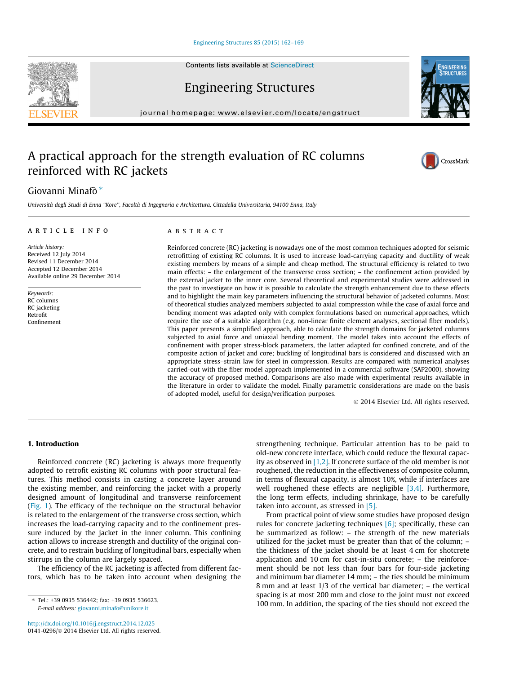#### [Engineering Structures 85 \(2015\) 162–169](http://dx.doi.org/10.1016/j.engstruct.2014.12.025)

Contents lists available at [ScienceDirect](http://www.sciencedirect.com/science/journal/01410296)

Engineering Structures

journal homepage: [www.elsevier.com/locate/engstruct](http://www.elsevier.com/locate/engstruct)

# A practical approach for the strength evaluation of RC columns reinforced with RC jackets

# Giovanni Minafò<sup>\*</sup>

Università degli Studi di Enna ''Kore'', Facoltà di Ingegneria e Architettura, Cittadella Universitaria, 94100 Enna, Italy

#### article info

Article history: Received 12 July 2014 Revised 11 December 2014 Accepted 12 December 2014 Available online 29 December 2014

Keywords: RC columns RC jacketing Retrofit Confinement

#### **ABSTRACT**

Reinforced concrete (RC) jacketing is nowadays one of the most common techniques adopted for seismic retrofitting of existing RC columns. It is used to increase load-carrying capacity and ductility of weak existing members by means of a simple and cheap method. The structural efficiency is related to two main effects: – the enlargement of the transverse cross section; – the confinement action provided by the external jacket to the inner core. Several theoretical and experimental studies were addressed in the past to investigate on how it is possible to calculate the strength enhancement due to these effects and to highlight the main key parameters influencing the structural behavior of jacketed columns. Most of theoretical studies analyzed members subjected to axial compression while the case of axial force and bending moment was adapted only with complex formulations based on numerical approaches, which require the use of a suitable algorithm (e.g. non-linear finite element analyses, sectional fiber models). This paper presents a simplified approach, able to calculate the strength domains for jacketed columns subjected to axial force and uniaxial bending moment. The model takes into account the effects of confinement with proper stress-block parameters, the latter adapted for confined concrete, and of the composite action of jacket and core; buckling of longitudinal bars is considered and discussed with an appropriate stress–strain law for steel in compression. Results are compared with numerical analyses carried-out with the fiber model approach implemented in a commercial software (SAP2000), showing the accuracy of proposed method. Comparisons are also made with experimental results available in the literature in order to validate the model. Finally parametric considerations are made on the basis of adopted model, useful for design/verification purposes.

- 2014 Elsevier Ltd. All rights reserved.

# 1. Introduction

Reinforced concrete (RC) jacketing is always more frequently adopted to retrofit existing RC columns with poor structural features. This method consists in casting a concrete layer around the existing member, and reinforcing the jacket with a properly designed amount of longitudinal and transverse reinforcement ([Fig. 1\)](#page-1-0). The efficacy of the technique on the structural behavior is related to the enlargement of the transverse cross section, which increases the load-carrying capacity and to the confinement pressure induced by the jacket in the inner column. This confining action allows to increase strength and ductility of the original concrete, and to restrain buckling of longitudinal bars, especially when stirrups in the column are largely spaced.

The efficiency of the RC jacketing is affected from different factors, which has to be taken into account when designing the

<http://dx.doi.org/10.1016/j.engstruct.2014.12.025> 0141-0296/© 2014 Elsevier Ltd. All rights reserved. strengthening technique. Particular attention has to be paid to old-new concrete interface, which could reduce the flexural capacity as observed in  $[1,2]$ . If concrete surface of the old member is not roughened, the reduction in the effectiveness of composite column, in terms of flexural capacity, is almost 10%, while if interfaces are well roughened these effects are negligible  $[3,4]$ . Furthermore, the long term effects, including shrinkage, have to be carefully taken into account, as stressed in  $[5]$ .

From practical point of view some studies have proposed design rules for concrete jacketing techniques  $[6]$ ; specifically, these can be summarized as follow: – the strength of the new materials utilized for the jacket must be greater than that of the column; – the thickness of the jacket should be at least 4 cm for shotcrete application and 10 cm for cast-in-situ concrete; – the reinforcement should be not less than four bars for four-side jacketing and minimum bar diameter 14 mm; – the ties should be minimum 8 mm and at least 1/3 of the vertical bar diameter; – the vertical spacing is at most 200 mm and close to the joint must not exceed 100 mm. In addition, the spacing of the ties should not exceed the







<sup>⇑</sup> Tel.: +39 0935 536442; fax: +39 0935 536623. E-mail address: [giovanni.minafo@unikore.it](mailto:giovanni.minafo@unikore.it)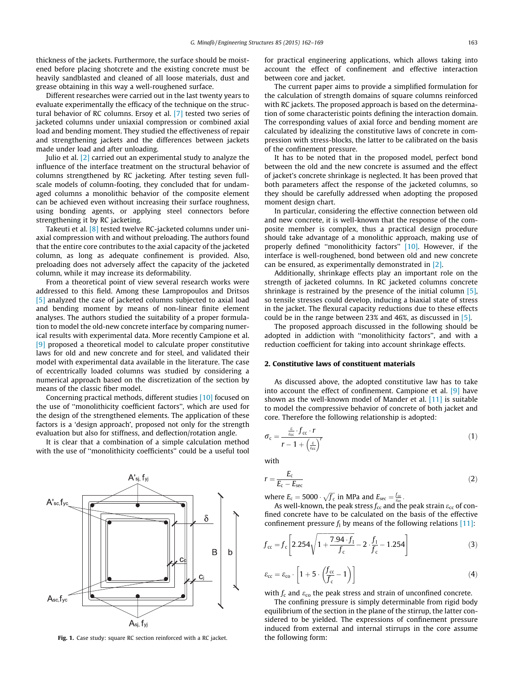<span id="page-1-0"></span>thickness of the jackets. Furthermore, the surface should be moistened before placing shotcrete and the existing concrete must be heavily sandblasted and cleaned of all loose materials, dust and grease obtaining in this way a well-roughened surface.

Different researches were carried out in the last twenty years to evaluate experimentally the efficacy of the technique on the structural behavior of RC columns. Ersoy et al. [\[7\]](#page-7-0) tested two series of jacketed columns under uniaxial compression or combined axial load and bending moment. They studied the effectiveness of repair and strengthening jackets and the differences between jackets made under load and after unloading.

Julio et al. [\[2\]](#page-7-0) carried out an experimental study to analyze the influence of the interface treatment on the structural behavior of columns strengthened by RC jacketing. After testing seven fullscale models of column-footing, they concluded that for undamaged columns a monolithic behavior of the composite element can be achieved even without increasing their surface roughness, using bonding agents, or applying steel connectors before strengthening it by RC jacketing.

Takeuti et al. [\[8\]](#page-7-0) tested twelve RC-jacketed columns under uniaxial compression with and without preloading. The authors found that the entire core contributes to the axial capacity of the jacketed column, as long as adequate confinement is provided. Also, preloading does not adversely affect the capacity of the jacketed column, while it may increase its deformability.

From a theoretical point of view several research works were addressed to this field. Among these Lampropoulos and Dritsos [\[5\]](#page-7-0) analyzed the case of jacketed columns subjected to axial load and bending moment by means of non-linear finite element analyses. The authors studied the suitability of a proper formulation to model the old-new concrete interface by comparing numerical results with experimental data. More recently Campione et al. [\[9\]](#page-7-0) proposed a theoretical model to calculate proper constitutive laws for old and new concrete and for steel, and validated their model with experimental data available in the literature. The case of eccentrically loaded columns was studied by considering a numerical approach based on the discretization of the section by means of the classic fiber model.

Concerning practical methods, different studies [\[10\]](#page-7-0) focused on the use of ''monolithicity coefficient factors'', which are used for the design of the strengthened elements. The application of these factors is a 'design approach', proposed not only for the strength evaluation but also for stiffness, and deflection/rotation angle.

It is clear that a combination of a simple calculation method with the use of ''monolithicity coefficients'' could be a useful tool



Fig. 1. Case study: square RC section reinforced with a RC jacket. the following form:

for practical engineering applications, which allows taking into account the effect of confinement and effective interaction between core and jacket.

The current paper aims to provide a simplified formulation for the calculation of strength domains of square columns reinforced with RC jackets. The proposed approach is based on the determination of some characteristic points defining the interaction domain. The corresponding values of axial force and bending moment are calculated by idealizing the constitutive laws of concrete in compression with stress-blocks, the latter to be calibrated on the basis of the confinement pressure.

It has to be noted that in the proposed model, perfect bond between the old and the new concrete is assumed and the effect of jacket's concrete shrinkage is neglected. It has been proved that both parameters affect the response of the jacketed columns, so they should be carefully addressed when adopting the proposed moment design chart.

In particular, considering the effective connection between old and new concrete, it is well-known that the response of the composite member is complex, thus a practical design procedure should take advantage of a monolithic approach, making use of properly defined ''monolithicity factors'' [\[10\].](#page-7-0) However, if the interface is well-roughened, bond between old and new concrete can be ensured, as experimentally demonstrated in [\[2\]](#page-7-0).

Additionally, shrinkage effects play an important role on the strength of jacketed columns. In RC jacketed columns concrete shrinkage is restrained by the presence of the initial column [\[5\],](#page-7-0) so tensile stresses could develop, inducing a biaxial state of stress in the jacket. The flexural capacity reductions due to these effects could be in the range between 23% and 46%, as discussed in [\[5\].](#page-7-0)

The proposed approach discussed in the following should be adopted in addiction with ''monolithicity factors'', and with a reduction coefficient for taking into account shrinkage effects.

#### 2. Constitutive laws of constituent materials

As discussed above, the adopted constitutive law has to take into account the effect of confinement. Campione et al. [\[9\]](#page-7-0) have shown as the well-known model of Mander et al. [\[11\]](#page-7-0) is suitable to model the compressive behavior of concrete of both jacket and core. Therefore the following relationship is adopted:

$$
\sigma_{\rm c} = \frac{\frac{\varepsilon}{\varepsilon_{\rm cc}} \cdot f_{\rm cc} \cdot r}{r - 1 + \left(\frac{\varepsilon}{\varepsilon_{\rm cc}}\right)^r} \tag{1}
$$

with

$$
r = \frac{E_{\rm c}}{E_{\rm c} - E_{\rm sec}}\tag{2}
$$

where  $E_c = 5000 \cdot \sqrt{f_c}$  in MPa and  $E_{sec} = \frac{f_{cc}}{g_{cc}}$ .

As well-known, the peak stress  $f_{\rm cc}$  and the peak strain  $\varepsilon_{\rm cc}$  of confined concrete have to be calculated on the basis of the effective confinement pressure  $f_1$  by means of the following relations [\[11\]](#page-7-0):

$$
f_{\rm cc} = f_{\rm c} \left[ 2.254 \sqrt{1 + \frac{7.94 \cdot f_1}{f_{\rm c}}} - 2 \cdot \frac{f_1}{f_{\rm c}} - 1.254 \right]
$$
 (3)

$$
\epsilon_{cc} = \epsilon_{co} \cdot \left[ 1 + 5 \cdot \left( \frac{f_{cc}}{f_c} - 1 \right) \right]
$$
 (4)

with  $f_c$  and  $\varepsilon_{\text{co}}$  the peak stress and strain of unconfined concrete.

The confining pressure is simply determinable from rigid body equilibrium of the section in the plane of the stirrup, the latter considered to be yielded. The expressions of confinement pressure induced from external and internal stirrups in the core assume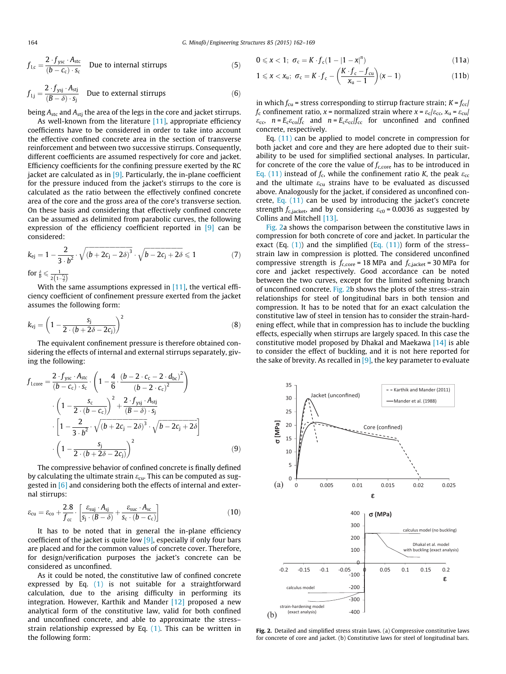<span id="page-2-0"></span>164 G. Minafò / Engineering Structures 85 (2015) 162–169

$$
f_{1,c} = \frac{2 \cdot f_{\text{ysc}} \cdot A_{\text{stc}}}{(b - c_c) \cdot s_c}
$$
 Due to internal stirring (5)

$$
f_{1j} = \frac{2 \cdot f_{ysj} \cdot A_{stj}}{(B - \delta) \cdot s_j}
$$
 Due to external stirring (6)

being  $A_{\rm stc}$  and  $A_{\rm sti}$  the area of the legs in the core and jacket stirrups.

As well-known from the literature  $[11]$ , appropriate efficiency coefficients have to be considered in order to take into account the effective confined concrete area in the section of transverse reinforcement and between two successive stirrups. Consequently, different coefficients are assumed respectively for core and jacket. Efficiency coefficients for the confining pressure exerted by the RC jacket are calculated as in  $[9]$ . Particularly, the in-plane coefficient for the pressure induced from the jacket's stirrups to the core is calculated as the ratio between the effectively confined concrete area of the core and the gross area of the core's transverse section. On these basis and considering that effectively confined concrete can be assumed as delimited from parabolic curves, the following expression of the efficiency coefficient reported in [\[9\]](#page-7-0) can be considered:

$$
k_{ej} = 1 - \frac{2}{3 \cdot b^2} \cdot \sqrt{\left(b + 2c_j - 2\delta\right)^3} \cdot \sqrt{b - 2c_j + 2\delta} \leqslant 1\tag{7}
$$
\n
$$
\text{for } \frac{\delta}{b} \leqslant \frac{1}{2\left(1 - \frac{c_j}{\delta}\right)}
$$

With the same assumptions expressed in  $[11]$ , the vertical efficiency coefficient of confinement pressure exerted from the jacket assumes the following form:

$$
k_{\rm vj} = \left(1 - \frac{s_{\rm j}}{2 \cdot (b + 2\delta - 2c_{\rm j})}\right)^2 \tag{8}
$$

The equivalent confinement pressure is therefore obtained considering the effects of internal and external stirrups separately, giving the following:

$$
f_{1,\text{core}} = \frac{2 \cdot f_{\text{ysc}} \cdot A_{\text{stc}}}{(b - c_{\text{c}}) \cdot s_{\text{c}}} \cdot \left( 1 - \frac{4}{6} \cdot \frac{(b - 2 \cdot c_{\text{c}} - 2 \cdot d_{\text{bc}})^2}{(b - 2 \cdot c_{\text{c}})^2} \right)
$$

$$
\cdot \left( 1 - \frac{s_{\text{c}}}{2 \cdot (b - c_{\text{c}})} \right)^2 + \frac{2 \cdot f_{\text{ysj}} \cdot A_{\text{stj}}}{(B - \delta) \cdot s_{\text{j}}}
$$

$$
\cdot \left[ 1 - \frac{2}{3 \cdot b^2} \cdot \sqrt{(b + 2c_{\text{j}} - 2\delta)^3} \cdot \sqrt{b - 2c_{\text{j}} + 2\delta} \right]
$$

$$
\cdot \left( 1 - \frac{s_{\text{j}}}{2 \cdot (b + 2\delta - 2c_{\text{j}})} \right)^2 \tag{9}
$$

The compressive behavior of confined concrete is finally defined by calculating the ultimate strain  $\varepsilon_{\text{cu}}$ . This can be computed as suggested in [\[6\]](#page-7-0) and considering both the effects of internal and external stirrups:

$$
\epsilon_{cu} = \epsilon_{co} + \frac{2.8}{f_{cc}} \cdot \left[ \frac{\epsilon_{suj} \cdot A_{sj}}{s_j \cdot (B - \delta)} + \frac{\epsilon_{suc} \cdot A_{sc}}{s_c \cdot (b - c_c)} \right]
$$
(10)

It has to be noted that in general the in-plane efficiency coefficient of the jacket is quite low  $[9]$ , especially if only four bars are placed and for the common values of concrete cover. Therefore, for design/verification purposes the jacket's concrete can be considered as unconfined.

As it could be noted, the constitutive law of confined concrete expressed by Eq. [\(1\)](#page-1-0) is not suitable for a straightforward calculation, due to the arising difficulty in performing its integration. However, Karthik and Mander [\[12\]](#page-7-0) proposed a new analytical form of the constitutive law, valid for both confined and unconfined concrete, and able to approximate the stress– strain relationship expressed by Eq. [\(1\).](#page-1-0) This can be written in the following form:

$$
0 \leqslant x < 1; \ \sigma_{c} = K \cdot f_{c} (1 - |1 - x|^{n}) \tag{11a}
$$

$$
1 \leqslant x < x_u; \ \sigma_c = K \cdot f_c - \left(\frac{K \cdot f_c - f_{cu}}{x_u - 1}\right)(x - 1) \tag{11b}
$$

in which  $f_{\text{cu}}$  = stress corresponding to stirrup fracture strain;  $K = f_{\text{cc}}/$  $f_c$  confinement ratio,  $x =$  normalized strain where  $x = \varepsilon_c/\varepsilon_{cc}$ ,  $x_u = \varepsilon_{cu}/r$  $\varepsilon_{\rm cc}$ ,  $n = E_{\rm c} \varepsilon_{\rm col} f_{\rm c}$  and  $n = E_{\rm c} \varepsilon_{\rm cc} f_{\rm cc}$  for unconfined and confined concrete, respectively.

Eq. (11) can be applied to model concrete in compression for both jacket and core and they are here adopted due to their suitability to be used for simplified sectional analyses. In particular, for concrete of the core the value of  $f_{c,core}$  has to be introduced in Eq. (11) instead of  $f_c$ , while the confinement ratio K, the peak  $\varepsilon_{cc}$ and the ultimate  $\varepsilon_{\text{cu}}$  strains have to be evaluated as discussed above. Analogously for the jacket, if considered as unconfined concrete,  $Eq. (11)$  can be used by introducing the jacket's concrete strength  $f_{\text{c,jacket}}$ , and by considering  $\varepsilon_{\text{c}0}$  = 0.0036 as suggested by Collins and Mitchell [\[13\].](#page-7-0)

Fig. 2a shows the comparison between the constitutive laws in compression for both concrete of core and jacket. In particular the exact (Eq.  $(1)$ ) and the simplified (Eq.  $(11)$ ) form of the stress– strain law in compression is plotted. The considered unconfined compressive strength is  $f_{c,core}$  = 18 MPa and  $f_{c,ject}$  = 30 MPa for core and jacket respectively. Good accordance can be noted between the two curves, except for the limited softening branch of unconfined concrete. Fig. 2b shows the plots of the stress–strain relationships for steel of longitudinal bars in both tension and compression. It has to be noted that for an exact calculation the constitutive law of steel in tension has to consider the strain-hardening effect, while that in compression has to include the buckling effects, especially when stirrups are largely spaced. In this case the constitutive model proposed by Dhakal and Maekawa  $[14]$  is able to consider the effect of buckling, and it is not here reported for the sake of brevity. As recalled in  $[9]$ , the key parameter to evaluate



Fig. 2. Detailed and simplified stress strain laws. (a) Compressive constitutive laws for concrete of core and jacket. (b) Constitutive laws for steel of longitudinal bars.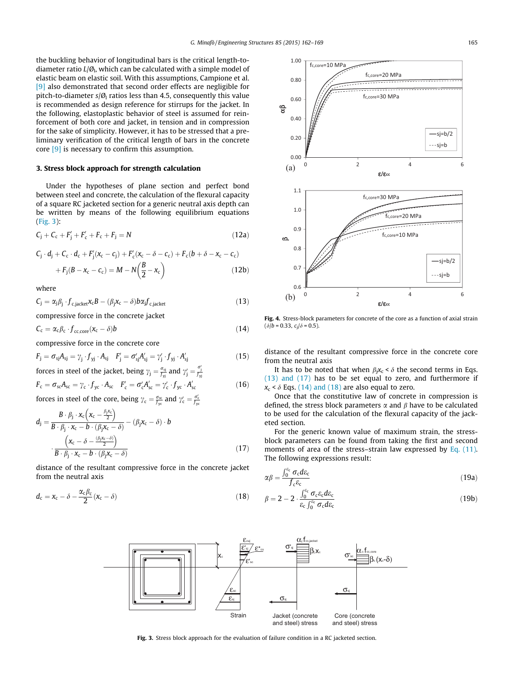<span id="page-3-0"></span>the buckling behavior of longitudinal bars is the critical length-todiameter ratio  $L/\mathcal{O}_1$ , which can be calculated with a simple model of elastic beam on elastic soil. With this assumptions, Campione et al. [\[9\]](#page-7-0) also demonstrated that second order effects are negligible for pitch-to-diameter  $s/\mathcal{O}_1$  ratios less than 4.5, consequently this value is recommended as design reference for stirrups for the jacket. In the following, elastoplastic behavior of steel is assumed for reinforcement of both core and jacket, in tension and in compression for the sake of simplicity. However, it has to be stressed that a preliminary verification of the critical length of bars in the concrete core [\[9\]](#page-7-0) is necessary to confirm this assumption.

# 3. Stress block approach for strength calculation

Under the hypotheses of plane section and perfect bond between steel and concrete, the calculation of the flexural capacity of a square RC jacketed section for a generic neutral axis depth can be written by means of the following equilibrium equations (Fig. 3):

$$
C_j + C_c + F'_j + F'_c + F_c + F_j = N \tag{12a}
$$

$$
C_j \cdot d_j + C_c \cdot d_c + F'_j(x_c - c_j) + F'_c(x_c - \delta - c_c) + F_c(b + \delta - x_c - c_c)
$$
  
+ 
$$
F_j(B - x_c - c_c) = M - N\left(\frac{B}{2} - x_c\right)
$$
 (12b)

where

$$
C_j = \alpha_j \beta_j \cdot f_{c,jacket} \chi_c B - (\beta_j \chi_c - \delta) b \alpha_j f_{c,jacket} \tag{13}
$$

compressive force in the concrete jacket

$$
C_{c} = \alpha_{c} \beta_{c} \cdot f_{cc,core}(x_{c} - \delta)b \tag{14}
$$

compressive force in the concrete core

$$
F_j = \sigma_{sj} A_{sj} = \gamma_j \cdot f_{yj} \cdot A_{sj} \quad F'_j = \sigma'_{sj} A'_{sj} = \gamma'_j \cdot f_{yj} \cdot A'_{sj} \tag{15}
$$

forces in steel of the jacket, being 
$$
\gamma_j = \frac{\sigma_{sj}}{f_{yj}}
$$
 and  $\gamma'_j = \frac{\sigma'_j}{f_{yj}}$   
 $F_c = \sigma_{sc}A_{sc} = \gamma_c \cdot f_{yc} \cdot A_{sc}$   $F'_c = \sigma'_c A'_{sc} = \gamma'_c \cdot f_{yc} \cdot A'_{sc}$ 

forces in steel of the core, being  $\gamma_c = \frac{\sigma_{sc}}{f_{yc}}$  and  $\gamma_c' = \frac{\sigma_c'}{f_{yc}}$ 

$$
d_{j} = \frac{B \cdot \beta_{j} \cdot x_{c} \left(x_{c} - \frac{\beta_{j}x_{c}}{2}\right)}{B \cdot \beta_{j} \cdot x_{c} - b \cdot (\beta_{j}x_{c} - \delta)} - (\beta_{j}x_{c} - \delta) \cdot b
$$

$$
\cdot \frac{\left(x_{c} - \delta - \frac{(\beta_{j}x_{c} - \delta)}{2}\right)}{B \cdot \beta_{j} \cdot x_{c} - b \cdot (\beta_{j}x_{c} - \delta)}
$$
(17)

distance of the resultant compressive force in the concrete jacket from the neutral axis

$$
d_{c} = x_{c} - \delta - \frac{\alpha_{c}\beta_{c}}{2}(x_{c} - \delta)
$$
\n(18)



Fig. 4. Stress-block parameters for concrete of the core as a function of axial strain  $(\delta/b = 0.33, c_i/\delta = 0.5).$ 

distance of the resultant compressive force in the concrete core from the neutral axis

It has to be noted that when  $\beta_i x_c < \delta$  the second terms in Eqs. (13) and (17) has to be set equal to zero, and furthermore if  $x_c < \delta$  Eqs. (14) and (18) are also equal to zero.

Once that the constitutive law of concrete in compression is defined, the stress block parameters  $\alpha$  and  $\beta$  have to be calculated to be used for the calculation of the flexural capacity of the jacketed section.

For the generic known value of maximum strain, the stressblock parameters can be found from taking the first and second moments of area of the stress–strain law expressed by [Eq. \(11\).](#page-2-0) The following expressions result:

$$
\alpha \beta = \frac{\int_0^{\varepsilon_c} \sigma_c d\varepsilon_c}{f_c \varepsilon_c} \tag{19a}
$$

$$
\beta = 2 - 2 \cdot \frac{\int_0^{\varepsilon_c} \sigma_c \varepsilon_c d\varepsilon_c}{\varepsilon_c \int_0^{\varepsilon_c} \sigma_c d\varepsilon_c} \tag{19b}
$$



 $(16)$ 

Fig. 3. Stress block approach for the evaluation of failure condition in a RC jacketed section.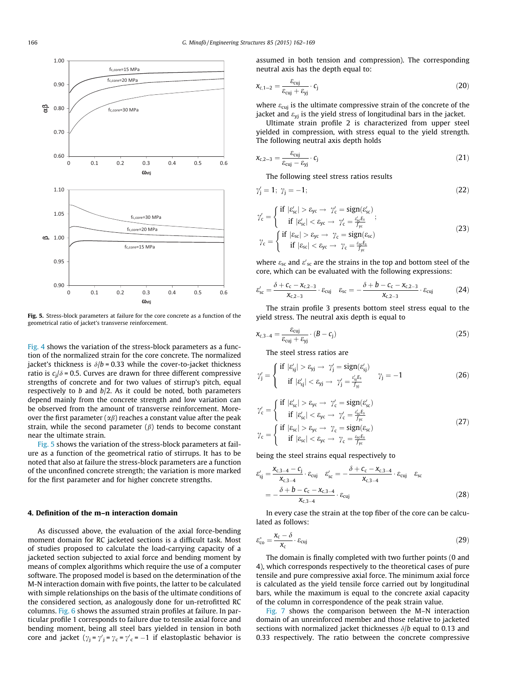

Fig. 5. Stress-block parameters at failure for the core concrete as a function of the geometrical ratio of jacket's transverse reinforcement.

[Fig. 4](#page-3-0) shows the variation of the stress-block parameters as a function of the normalized strain for the core concrete. The normalized jacket's thickness is  $\delta/b = 0.33$  while the cover-to-jacket thickness ratio is  $c_i/\delta$  = 0.5. Curves are drawn for three different compressive strengths of concrete and for two values of stirrup's pitch, equal respectively to b and b/2. As it could be noted, both parameters depend mainly from the concrete strength and low variation can be observed from the amount of transverse reinforcement. Moreover the first parameter ( $\alpha\beta$ ) reaches a constant value after the peak strain, while the second parameter  $(\beta)$  tends to become constant near the ultimate strain.

Fig. 5 shows the variation of the stress-block parameters at failure as a function of the geometrical ratio of stirrups. It has to be noted that also at failure the stress-block parameters are a function of the unconfined concrete strength; the variation is more marked for the first parameter and for higher concrete strengths.

# 4. Definition of the m–n interaction domain

As discussed above, the evaluation of the axial force-bending moment domain for RC jacketed sections is a difficult task. Most of studies proposed to calculate the load-carrying capacity of a jacketed section subjected to axial force and bending moment by means of complex algorithms which require the use of a computer software. The proposed model is based on the determination of the M-N interaction domain with five points, the latter to be calculated with simple relationships on the basis of the ultimate conditions of the considered section, as analogously done for un-retrofitted RC columns. [Fig. 6](#page-5-0) shows the assumed strain profiles at failure. In particular profile 1 corresponds to failure due to tensile axial force and bending moment, being all steel bars yielded in tension in both core and jacket  $(\gamma_j = \gamma'_j = \gamma_c = \gamma'_c = -1$  if elastoplastic behavior is

assumed in both tension and compression). The corresponding neutral axis has the depth equal to:

$$
x_{c,1-2} = \frac{\varepsilon_{\text{cuj}}}{\varepsilon_{\text{cuj}} + \varepsilon_{\text{yi}}} \cdot c_{\text{j}}
$$
 (20)

where  $\varepsilon_{\text{cui}}$  is the ultimate compressive strain of the concrete of the jacket and  $\varepsilon_{vi}$  is the yield stress of longitudinal bars in the jacket.

Ultimate strain profile 2 is characterized from upper steel yielded in compression, with stress equal to the yield strength. The following neutral axis depth holds

$$
x_{c,2-3} = \frac{\varepsilon_{\text{cuj}}}{\varepsilon_{\text{cuj}} - \varepsilon_{\text{yj}}} \cdot c_{\text{j}}
$$
 (21)

The following steel stress ratios results

$$
\gamma_j' = 1; \ \gamma_j = -1; \tag{22}
$$

$$
\gamma_c' = \begin{cases} \text{if } |\varepsilon_{sc}'| > \varepsilon_{yc} \rightarrow \gamma_c' = \text{sign}(\varepsilon_{sc}')\\ \text{if } |\varepsilon_{sc}'| < \varepsilon_{yc} \rightarrow \gamma_c' = \frac{\varepsilon_{sc}'\varepsilon_s}{f_{yc}};\\ \gamma_c = \begin{cases} \text{if } |\varepsilon_{sc}| > \varepsilon_{yc} \rightarrow \gamma_c = \text{sign}(\varepsilon_{sc})\\ \text{if } |\varepsilon_{sc}| < \varepsilon_{yc} \rightarrow \gamma_c = \frac{\varepsilon_{sc}\varepsilon_s}{f_{yc}} \end{cases} \end{cases} \tag{23}
$$

where  $\varepsilon_{sc}$  and  $\varepsilon'_{sc}$  are the strains in the top and bottom steel of the core, which can be evaluated with the following expressions:

$$
\varepsilon'_{\rm sc} = \frac{\delta + c_{\rm c} - x_{\rm c,2-3}}{x_{\rm c,2-3}} \cdot \varepsilon_{\rm cuj} \quad \varepsilon_{\rm sc} = -\frac{\delta + b - c_{\rm c} - x_{\rm c,2-3}}{x_{\rm c,2-3}} \cdot \varepsilon_{\rm cuj} \tag{24}
$$

The strain profile 3 presents bottom steel stress equal to the yield stress. The neutral axis depth is equal to

$$
x_{c,3-4} = \frac{\varepsilon_{cuj}}{\varepsilon_{cuj} + \varepsilon_{yj}} \cdot (B - c_j)
$$
 (25)

The steel stress ratios are

$$
\gamma'_{j} = \begin{cases} \text{if } |\varepsilon'_{sj}| > \varepsilon_{yj} \rightarrow \gamma'_{j} = \text{sign}(\varepsilon'_{sj}) \\ \text{if } |\varepsilon'_{sj}| < \varepsilon_{yj} \rightarrow \gamma'_{j} = \frac{\varepsilon'_{sj}\varepsilon_{s}}{f_{yj}} \end{cases} \qquad \gamma_{j} = -1 \tag{26}
$$

$$
\gamma_{c}' = \begin{cases}\n\text{if } | \varepsilon_{sc}'| > \varepsilon_{yc} \rightarrow \gamma_{c}' = \text{sign}(\varepsilon_{sc}') \\
\text{if } | \varepsilon_{sc}'| < \varepsilon_{yc} \rightarrow \gamma_{c}' = \frac{\varepsilon_{sc}' \varepsilon_{sc}}{f_{yc}} \\
\text{if } | \varepsilon_{sc}| > \varepsilon_{yc} \rightarrow \gamma_{c} = \text{sign}(\varepsilon_{sc}) \\
\text{if } | \varepsilon_{sc}| < \varepsilon_{yc} \rightarrow \gamma_{c} = \frac{\varepsilon_{sc} \varepsilon_{sc}}{f_{yc}}\n\end{cases}
$$
\n(27)

being the steel strains equal respectively to

$$
\varepsilon'_{sj} = \frac{x_{c,3-4} - c_j}{x_{c,3-4}} \cdot \varepsilon_{cuj} \quad \varepsilon'_{sc} = -\frac{\delta + c_c - x_{c,3-4}}{x_{c,3-4}} \cdot \varepsilon_{cuj} \quad \varepsilon_{sc}
$$
\n
$$
= -\frac{\delta + b - c_c - x_{c,3-4}}{x_{c,3-4}} \cdot \varepsilon_{cuj} \tag{28}
$$

In every case the strain at the top fiber of the core can be calculated as follows:

$$
\varepsilon_{\rm co}^* = \frac{x_{\rm c} - \delta}{x_{\rm c}} \cdot \varepsilon_{\rm cuj} \tag{29}
$$

The domain is finally completed with two further points (0 and 4), which corresponds respectively to the theoretical cases of pure tensile and pure compressive axial force. The minimum axial force is calculated as the yield tensile force carried out by longitudinal bars, while the maximum is equal to the concrete axial capacity of the column in correspondence of the peak strain value.

[Fig. 7](#page-5-0) shows the comparison between the M–N interaction domain of an unreinforced member and those relative to jacketed sections with normalized jacket thicknesses  $\delta/b$  equal to 0.13 and 0.33 respectively. The ratio between the concrete compressive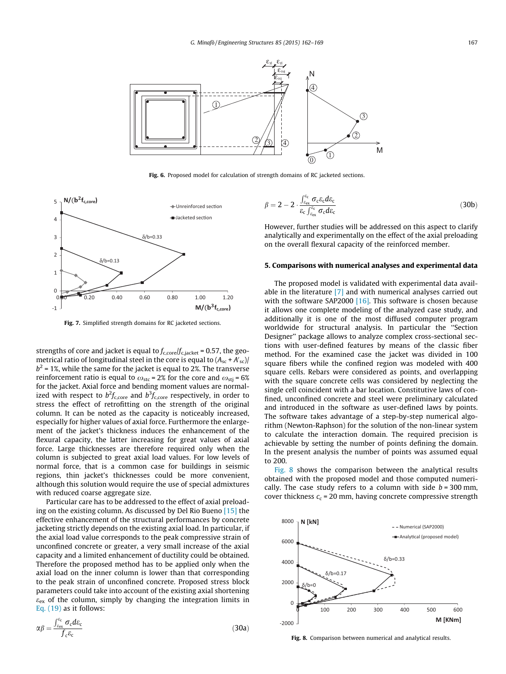<span id="page-5-0"></span>

Fig. 6. Proposed model for calculation of strength domains of RC jacketed sections.



Fig. 7. Simplified strength domains for RC jacketed sections.

strengths of core and jacket is equal to  $f_{\text{c,core}}/f_{\text{c,jacket}} = 0.57$ , the geometrical ratio of longitudinal steel in the core is equal to ( $A_{\rm sc}$  +  $A'_{\rm sc}$ )/  $b^2$  = 1%, while the same for the jacket is equal to 2%. The transverse reinforcement ratio is equal to  $\omega_{\text{stc}}$  = 2% for the core and  $\omega_{\text{stj}}$  = 6% for the jacket. Axial force and bending moment values are normalized with respect to  $b^2f_{\rm c,core}$  and  $b^3f_{\rm c,core}$  respectively, in order to stress the effect of retrofitting on the strength of the original column. It can be noted as the capacity is noticeably increased, especially for higher values of axial force. Furthermore the enlargement of the jacket's thickness induces the enhancement of the flexural capacity, the latter increasing for great values of axial force. Large thicknesses are therefore required only when the column is subjected to great axial load values. For low levels of normal force, that is a common case for buildings in seismic regions, thin jacket's thicknesses could be more convenient, although this solution would require the use of special admixtures with reduced coarse aggregate size.

Particular care has to be addressed to the effect of axial preloading on the existing column. As discussed by Del Rio Bueno [\[15\]](#page-7-0) the effective enhancement of the structural performances by concrete jacketing strictly depends on the existing axial load. In particular, if the axial load value corresponds to the peak compressive strain of unconfined concrete or greater, a very small increase of the axial capacity and a limited enhancement of ductility could be obtained. Therefore the proposed method has to be applied only when the axial load on the inner column is lower than that corresponding to the peak strain of unconfined concrete. Proposed stress block parameters could take into account of the existing axial shortening  $\varepsilon_{\rm ex}$  of the column, simply by changing the integration limits in [Eq. \(19\)](#page-3-0) as it follows:

$$
\alpha \beta = \frac{\int_{\mathcal{E}_{\text{ex}}}^{\mathcal{E}_{\text{c}}} \sigma_{\text{c}} d\mathcal{E}_{\text{c}}}{\int_{\text{c}} \mathcal{E}_{\text{c}}} \tag{30a}
$$

$$
\beta = 2 - 2 \cdot \frac{\int_{\varepsilon_{\rm ex}}^{\varepsilon_{\rm c}} \sigma_{\rm c} \varepsilon_{\rm c} d\varepsilon_{\rm c}}{\varepsilon_{\rm c} \int_{\varepsilon_{\rm ex}}^{\varepsilon_{\rm ex}} \sigma_{\rm c} d\varepsilon_{\rm c}} \tag{30b}
$$

However, further studies will be addressed on this aspect to clarify analytically and experimentally on the effect of the axial preloading on the overall flexural capacity of the reinforced member.

#### 5. Comparisons with numerical analyses and experimental data

The proposed model is validated with experimental data available in the literature [\[7\]](#page-7-0) and with numerical analyses carried out with the software SAP2000 [\[16\].](#page-7-0) This software is chosen because it allows one complete modeling of the analyzed case study, and additionally it is one of the most diffused computer program worldwide for structural analysis. In particular the ''Section Designer'' package allows to analyze complex cross-sectional sections with user-defined features by means of the classic fiber method. For the examined case the jacket was divided in 100 square fibers while the confined region was modeled with 400 square cells. Rebars were considered as points, and overlapping with the square concrete cells was considered by neglecting the single cell coincident with a bar location. Constitutive laws of confined, unconfined concrete and steel were preliminary calculated and introduced in the software as user-defined laws by points. The software takes advantage of a step-by-step numerical algorithm (Newton-Raphson) for the solution of the non-linear system to calculate the interaction domain. The required precision is achievable by setting the number of points defining the domain. In the present analysis the number of points was assumed equal to 200.

Fig. 8 shows the comparison between the analytical results obtained with the proposed model and those computed numerically. The case study refers to a column with side  $b = 300$  mm, cover thickness  $c_c$  = 20 mm, having concrete compressive strength



Fig. 8. Comparison between numerical and analytical results.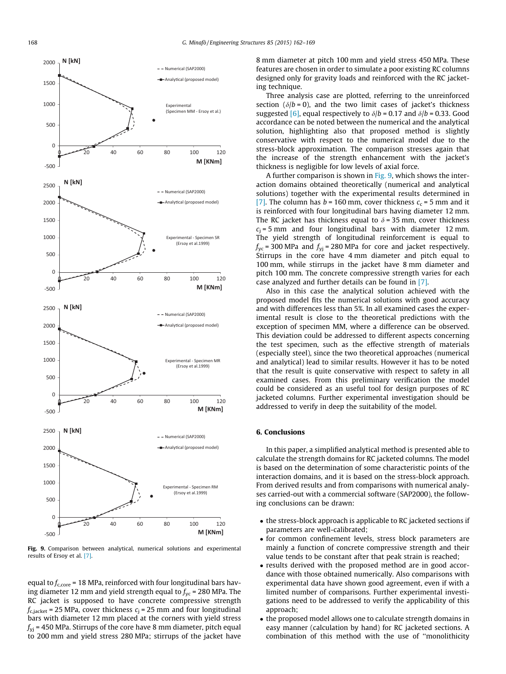

Fig. 9. Comparison between analytical, numerical solutions and experimental results of Ersoy et al. [\[7\]](#page-7-0).

equal to  $f_{\rm c,core}$  = 18 MPa, reinforced with four longitudinal bars having diameter 12 mm and yield strength equal to  $f_{yc}$  = 280 MPa. The RC jacket is supposed to have concrete compressive strength  $f_{\text{c,jacket}}$  = 25 MPa, cover thickness  $c_i$  = 25 mm and four longitudinal bars with diameter 12 mm placed at the corners with yield stress  $f_{\rm vi}$  = 450 MPa. Stirrups of the core have 8 mm diameter, pitch equal to 200 mm and yield stress 280 MPa; stirrups of the jacket have 8 mm diameter at pitch 100 mm and yield stress 450 MPa. These features are chosen in order to simulate a poor existing RC columns designed only for gravity loads and reinforced with the RC jacketing technique.

Three analysis case are plotted, referring to the unreinforced section  $(\delta/b = 0)$ , and the two limit cases of jacket's thickness suggested [\[6\]](#page-7-0), equal respectively to  $\delta/b = 0.17$  and  $\delta/b = 0.33$ . Good accordance can be noted between the numerical and the analytical solution, highlighting also that proposed method is slightly conservative with respect to the numerical model due to the stress-block approximation. The comparison stresses again that the increase of the strength enhancement with the jacket's thickness is negligible for low levels of axial force.

A further comparison is shown in Fig. 9, which shows the interaction domains obtained theoretically (numerical and analytical solutions) together with the experimental results determined in [\[7\]](#page-7-0). The column has  $b = 160$  mm, cover thickness  $c_c = 5$  mm and it is reinforced with four longitudinal bars having diameter 12 mm. The RC jacket has thickness equal to  $\delta$  = 35 mm, cover thickness  $c_i$  = 5 mm and four longitudinal bars with diameter 12 mm. The yield strength of longitudinal reinforcement is equal to  $f_{\text{yc}}$  = 300 MPa and  $f_{\text{yi}}$  = 280 MPa for core and jacket respectively. Stirrups in the core have 4 mm diameter and pitch equal to 100 mm, while stirrups in the jacket have 8 mm diameter and pitch 100 mm. The concrete compressive strength varies for each case analyzed and further details can be found in [\[7\]](#page-7-0).

Also in this case the analytical solution achieved with the proposed model fits the numerical solutions with good accuracy and with differences less than 5%. In all examined cases the experimental result is close to the theoretical predictions with the exception of specimen MM, where a difference can be observed. This deviation could be addressed to different aspects concerning the test specimen, such as the effective strength of materials (especially steel), since the two theoretical approaches (numerical and analytical) lead to similar results. However it has to be noted that the result is quite conservative with respect to safety in all examined cases. From this preliminary verification the model could be considered as an useful tool for design purposes of RC jacketed columns. Further experimental investigation should be addressed to verify in deep the suitability of the model.

#### 6. Conclusions

In this paper, a simplified analytical method is presented able to calculate the strength domains for RC jacketed columns. The model is based on the determination of some characteristic points of the interaction domains, and it is based on the stress-block approach. From derived results and from comparisons with numerical analyses carried-out with a commercial software (SAP2000), the following conclusions can be drawn:

- the stress-block approach is applicable to RC jacketed sections if parameters are well-calibrated;
- for common confinement levels, stress block parameters are mainly a function of concrete compressive strength and their value tends to be constant after that peak strain is reached;
- results derived with the proposed method are in good accordance with those obtained numerically. Also comparisons with experimental data have shown good agreement, even if with a limited number of comparisons. Further experimental investigations need to be addressed to verify the applicability of this approach;
- the proposed model allows one to calculate strength domains in easy manner (calculation by hand) for RC jacketed sections. A combination of this method with the use of ''monolithicity